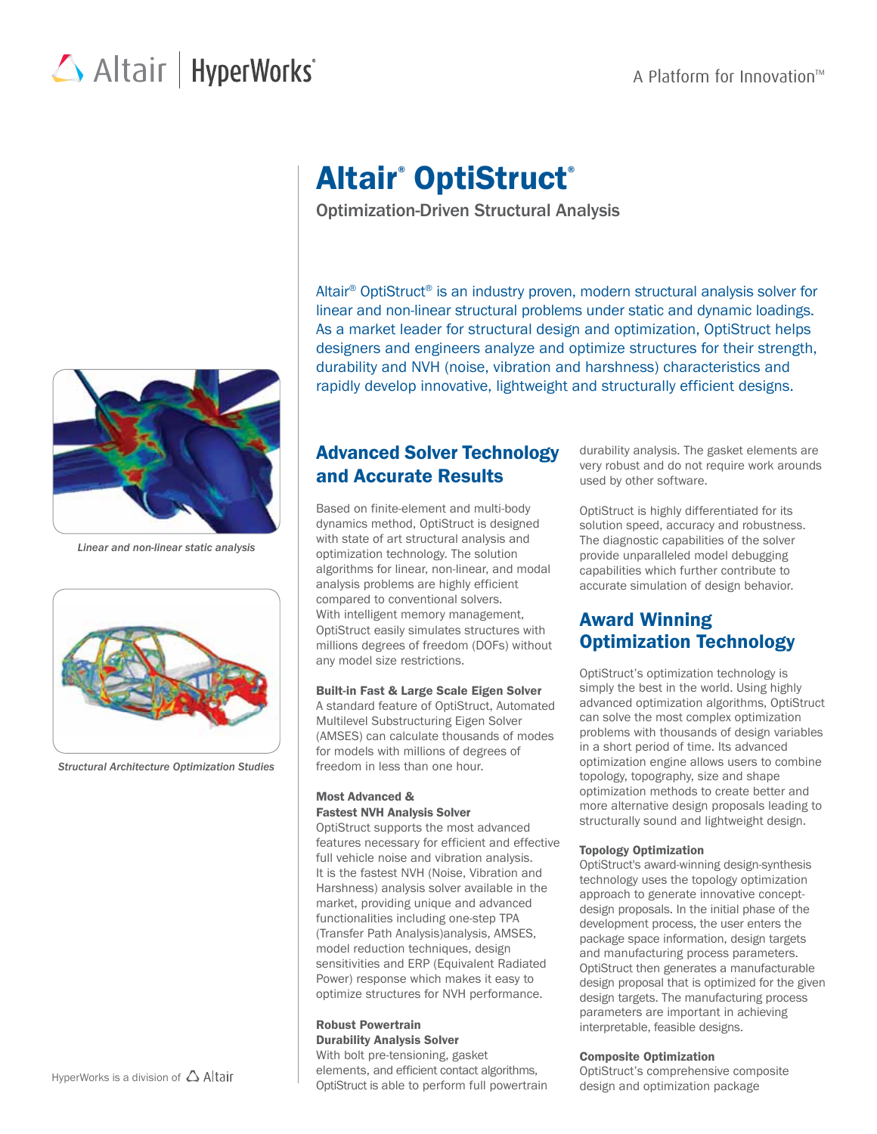## A Platform for Innovation<sup> $M$ </sup>

# Altair | HyperWorks<sup>\*</sup>



*Linear and non-linear static analysis*



*Structural Architecture Optimization Studies*

## Altair<sup>®</sup> OptiStruct®

Optimization-Driven Structural Analysis

Altair® OptiStruct® is an industry proven, modern structural analysis solver for linear and non-linear structural problems under static and dynamic loadings. As a market leader for structural design and optimization, OptiStruct helps designers and engineers analyze and optimize structures for their strength, durability and NVH (noise, vibration and harshness) characteristics and rapidly develop innovative, lightweight and structurally efficient designs.

## Advanced Solver Technology and Accurate Results

Based on finite-element and multi-body dynamics method, OptiStruct is designed with state of art structural analysis and optimization technology. The solution algorithms for linear, non-linear, and modal analysis problems are highly efficient compared to conventional solvers. With intelligent memory management, OptiStruct easily simulates structures with millions degrees of freedom (DOFs) without any model size restrictions.

## Built-in Fast & Large Scale Eigen Solver

A standard feature of OptiStruct, Automated Multilevel Substructuring Eigen Solver (AMSES) can calculate thousands of modes for models with millions of degrees of freedom in less than one hour.

## Most Advanced & Fastest NVH Analysis Solver

OptiStruct supports the most advanced features necessary for efficient and effective full vehicle noise and vibration analysis. It is the fastest NVH (Noise, Vibration and Harshness) analysis solver available in the market, providing unique and advanced functionalities including one-step TPA (Transfer Path Analysis)analysis, AMSES, model reduction techniques, design sensitivities and ERP (Equivalent Radiated Power) response which makes it easy to optimize structures for NVH performance.

## Robust Powertrain Durability Analysis Solver

With bolt pre-tensioning, gasket elements, and efficient contact algorithms, OptiStruct is able to perform full powertrain durability analysis. The gasket elements are very robust and do not require work arounds used by other software.

OptiStruct is highly differentiated for its solution speed, accuracy and robustness. The diagnostic capabilities of the solver provide unparalleled model debugging capabilities which further contribute to accurate simulation of design behavior.

## Award Winning Optimization Technology

OptiStruct's optimization technology is simply the best in the world. Using highly advanced optimization algorithms, OptiStruct can solve the most complex optimization problems with thousands of design variables in a short period of time. Its advanced optimization engine allows users to combine topology, topography, size and shape optimization methods to create better and more alternative design proposals leading to structurally sound and lightweight design.

## Topology Optimization

OptiStruct's award-winning design-synthesis technology uses the topology optimization approach to generate innovative conceptdesign proposals. In the initial phase of the development process, the user enters the package space information, design targets and manufacturing process parameters. OptiStruct then generates a manufacturable design proposal that is optimized for the given design targets. The manufacturing process parameters are important in achieving interpretable, feasible designs.

## Composite Optimization

OptiStruct's comprehensive composite design and optimization package